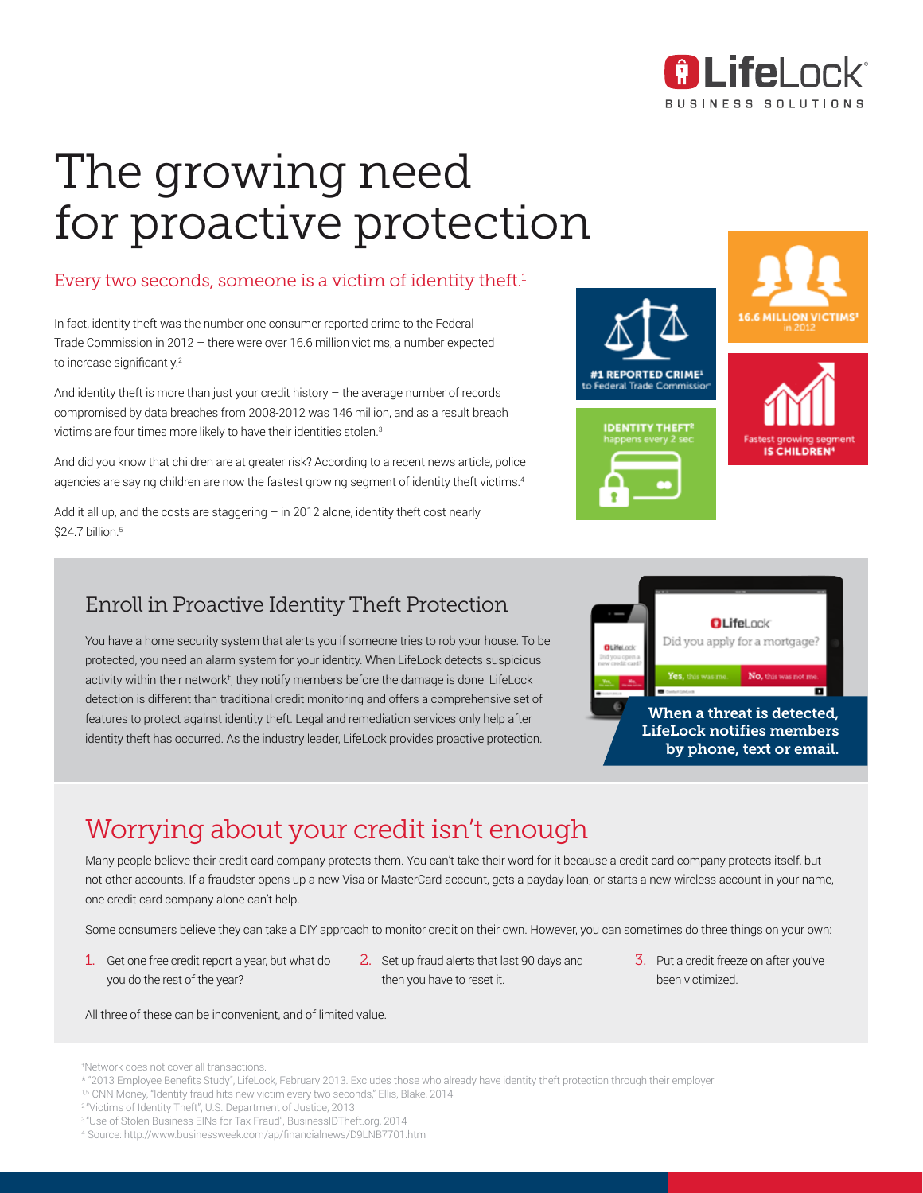

**IS CHILDREN** 

# The growing need for proactive protection

### Every two seconds, someone is a victim of identity theft.<sup>1</sup>

In fact, identity theft was the number one consumer reported crime to the Federal Trade Commission in 2012 – there were over 16.6 million victims, a number expected to increase significantly.<sup>2</sup>

And identity theft is more than just your credit history – the average number of records compromised by data breaches from 2008-2012 was 146 million, and as a result breach victims are four times more likely to have their identities stolen.<sup>3</sup>

And did you know that children are at greater risk? According to a recent news article, police agencies are saying children are now the fastest growing segment of identity theft victims.<sup>4</sup>

Add it all up, and the costs are staggering  $-$  in 2012 alone, identity theft cost nearly \$24.7 billion.<sup>5</sup>

### Enroll in Proactive Identity Theft Protection

You have a home security system that alerts you if someone tries to rob your house. To be protected, you need an alarm system for your identity. When LifeLock detects suspicious activity within their network† , they notify members before the damage is done. LifeLock detection is different than traditional credit monitoring and offers a comprehensive set of features to protect against identity theft. Legal and remediation services only help after identity theft has occurred. As the industry leader, LifeLock provides proactive protection.



#1 REPORTED CRIME<sup>1</sup> Federal Trade Commissic

**IDENTITY THEFT<sup>2</sup>** 

### Worrying about your credit isn't enough

Many people believe their credit card company protects them. You can't take their word for it because a credit card company protects itself, but not other accounts. If a fraudster opens up a new Visa or MasterCard account, gets a payday loan, or starts a new wireless account in your name, one credit card company alone can't help.

Some consumers believe they can take a DIY approach to monitor credit on their own. However, you can sometimes do three things on your own:

- 1. Get one free credit report a year, but what do you do the rest of the year?
- 2. Set up fraud alerts that last 90 days and then you have to reset it.
- 3. Put a credit freeze on after you've been victimized.

All three of these can be inconvenient, and of limited value.

<sup>†</sup> Network does not cover all transactions.

<sup>\* &</sup>quot;2013 Employee Benefits Study", LifeLock, February 2013. Excludes those who already have identity theft protection through their employer

<sup>1,5</sup> CNN Money, "Identity fraud hits new victim every two seconds," Ellis, Blake, 2014

<sup>2</sup>"Victims of Identity Theft", U.S. Department of Justice, 2013

<sup>3</sup>"Use of Stolen Business EINs for Tax Fraud", BusinessIDTheft.org, 2014

<sup>4</sup> Source: http://www.businessweek.com/ap/financialnews/D9LNB7701.htm